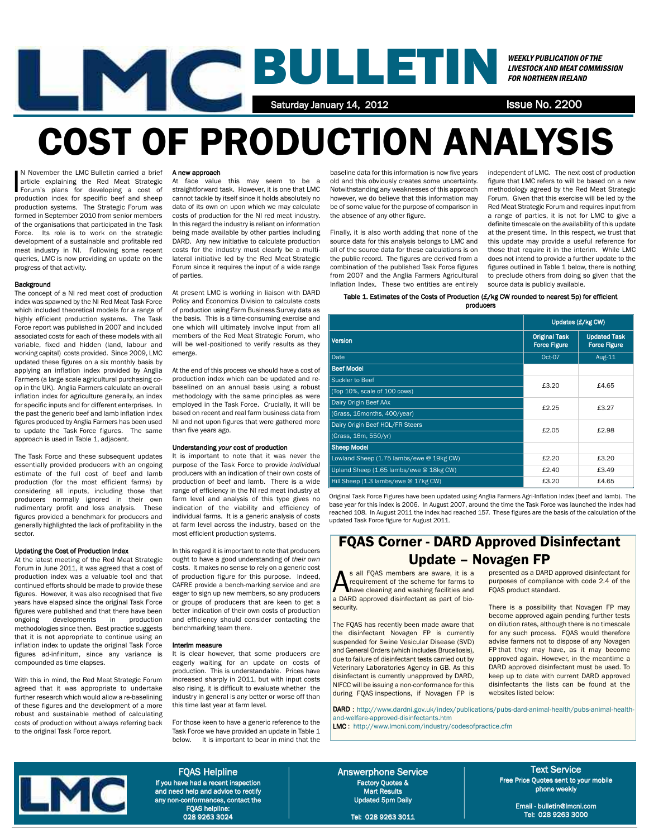

# COST OF PRODUCTION ANALYSIS

N November the LMC Bulletin carried a brief article explaining the Red Meat Strategic<br>Forum's plans for developing a cost of<br>production index for specific beef and sheep N November the LMC Bulletin carried a brief article explaining the Red Meat Strategic Forum's plans for developing a cost of production systems. The Strategic Forum was formed in September 2010 from senior members of the organisations that participated in the Task Force. Its role is to work on the strategic development of a sustainable and profitable red meat industry in NI. Following some recent queries, LMC is now providing an update on the progress of that activity.

### **Background**

The concept of a NI red meat cost of production index was spawned by the NI Red Meat Task Force which included theoretical models for a range of highly efficient production systems. The Task Force report was published in 2007 and included associated costs for each of these models with all variable, fixed and hidden (land, labour and working capital) costs provided. Since 2009, LMC updated these figures on a six monthly basis by applying an inflation index provided by Anglia Farmers (a large scale agricultural purchasing coop in the UK). Anglia Farmers calculate an overall inflation index for agriculture generally, an index for specific inputs and for different enterprises. In the past the generic beef and lamb inflation index figures produced by Anglia Farmers has been used to update the Task Force figures. The same approach is used in Table 1, adjacent.

The Task Force and these subsequent updates essentially provided producers with an ongoing estimate of the full cost of beef and lamb production (for the most efficient farms) by considering all inputs, including those that producers normally ignored in their own rudimentary profit and loss analysis. These figures provided a benchmark for producers and generally highlighted the lack of profitability in the sector.

### Updating the Cost of Production Index

At the latest meeting of the Red Meat Strategic Forum in June 2011, it was agreed that a cost of production index was a valuable tool and that continued efforts should be made to provide these figures. However, it was also recognised that five years have elapsed since the original Task Force figures were published and that there have been ongoing developments in production methodologies since then. Best practice suggests that it is not appropriate to continue using an inflation index to update the original Task Force figures ad-infinitum, since any variance is compounded as time elapses.

With this in mind, the Red Meat Strategic Forum agreed that it was appropriate to undertake further research which would allow a re-baselining of these figures and the development of a more robust and sustainable method of calculating costs of production without always referring back to the original Task Force report.

### A new approach

At face value this may seem to be a straightforward task. However, it is one that LMC cannot tackle by itself since it holds absolutely no data of its own on upon which we may calculate costs of production for the NI red meat industry. In this regard the industry is reliant on information being made available by other parties including DARD. Any new initiative to calculate production costs for the industry must clearly be a multilateral initiative led by the Red Meat Strategic Forum since it requires the input of a wide range of parties.

At present LMC is working in liaison with DARD Policy and Economics Division to calculate costs of production using Farm Business Survey data as the basis. This is a time-consuming exercise and one which will ultimately involve input from all members of the Red Meat Strategic Forum, who will be well-positioned to verify results as they emerge.

At the end of this process we should have a cost of production index which can be updated and rebaselined on an annual basis using a robust methodology with the same principles as were employed in the Task Force. Crucially, it will be based on recent and real farm business data from NI and not upon figures that were gathered more than five years ago.

### Understanding *your* cost of production

It is important to note that it was never the purpose of the Task Force to provide *individual* producers with an indication of their own costs of production of beef and lamb. There is a wide range of efficiency in the NI red meat industry at farm level and analysis of this type gives no indication of the viability and efficiency of individual farms. It is a generic analysis of costs at farm level across the industry, based on the most efficient production systems.

In this regard it is important to note that producers ought to have a good understanding of *their own* costs. It makes no sense to rely on a generic cost of production figure for this purpose. Indeed, CAFRE provide a bench-marking service and are eager to sign up new members, so any producers or groups of producers that are keen to get a better indication of their own costs of production and efficiency should consider contacting the benchmarking team there.

#### Interim measure

It is clear however, that some producers are eagerly waiting for an update on costs of production. This is understandable. Prices have increased sharply in 2011, but with input costs also rising, it is difficult to evaluate whether the industry in general is any better or worse off than this time last year at farm level.

For those keen to have a generic reference to the Task Force we have provided an update in Table 1 below. It is important to bear in mind that the

baseline data for this information is now five years old and this obviously creates some uncertainty. Notwithstanding any weaknesses of this approach however, we do believe that this information may be of some value for the purpose of comparison in the absence of any other figure.

Finally, it is also worth adding that none of the source data for this analysis belongs to LMC and all of the source data for these calculations is on the public record. The figures are derived from a combination of the published Task Force figures from 2007 and the Anglia Farmers Agricultural Inflation Index. These two entities are entirely independent of LMC. The next cost of production figure that LMC refers to will be based on a new methodology agreed by the Red Meat Strategic Forum. Given that this exercise will be led by the Red Meat Strategic Forum and requires input from a range of parties, it is not for LMC to give a definite timescale on the availability of this update at the present time. In this respect, we trust that this update may provide a useful reference for those that require it in the interim. While LMC does not intend to provide a further update to the figures outlined in Table 1 below, there is nothing to preclude others from doing so given that the source data is publicly available.

### Table 1. Estimates of the Costs of Production (£/kg CW rounded to nearest 5p) for efficient

producers

|                                          | Updates (£/kg CW)                           |                                            |  |  |
|------------------------------------------|---------------------------------------------|--------------------------------------------|--|--|
| <b>Version</b>                           | <b>Original Task</b><br><b>Force Figure</b> | <b>Updated Task</b><br><b>Force Figure</b> |  |  |
| Date                                     | Oct-07                                      | Aug-11                                     |  |  |
| <b>Beef Model</b>                        |                                             |                                            |  |  |
| Suckler to Beef                          | £3.20                                       | £4.65                                      |  |  |
| (Top 10%, scale of 100 cows)             |                                             |                                            |  |  |
| Dairy Origin Beef AAx                    | £2.25                                       | £3.27                                      |  |  |
| (Grass, 16 months, 400/year)             |                                             |                                            |  |  |
| Dairy Origin Beef HOL/FR Steers          | £2.05                                       | £2.98                                      |  |  |
| (Grass, 16m, 550/yr)                     |                                             |                                            |  |  |
| <b>Sheep Model</b>                       |                                             |                                            |  |  |
| Lowland Sheep (1.75 lambs/ewe @ 19kg CW) | £2.20                                       | £3.20                                      |  |  |
| Upland Sheep (1.65 lambs/ewe @ 18kg CW)  | £2.40                                       | £3.49                                      |  |  |
| Hill Sheep (1.3 lambs/ewe @ 17kg CW)     | £3.20                                       | £4.65                                      |  |  |

Original Task Force Figures have been updated using Anglia Farmers Agri-Inflation Index (beef and lamb). The base year for this index is 2006. In August 2007, around the time the Task Force was launched the index had reached 108. In August 2011 the index had reached 157. These figures are the basis of the calculation of the updated Task Force figure for August 2011.

## FQAS Corner - DARD Approved Disinfectant Update – Novagen FP

S all FQAS members are aware, it is a<br>requirement of the scheme for farms to<br>have cleaning and washing facilities and requirement of the scheme for farms to have cleaning and washing facilities and a DARD approved disinfectant as part of biosecurity.

The FQAS has recently been made aware that the disinfectant Novagen FP is currently suspended for Swine Vesicular Disease (SVD) and General Orders (which includes Brucellosis), due to failure of disinfectant tests carried out by Veterinary Laboratories Agency in GB. As this disinfectant is currently unapproved by DARD, NIFCC will be issuing a non-conformance for this during FQAS inspections, if Novagen FP is presented as a DARD approved disinfectant for purposes of compliance with code 2.4 of the FQAS product standard.

There is a possibility that Novagen FP may become approved again pending further tests on dilution rates, although there is no timescale for any such process. FQAS would therefore advise farmers not to dispose of any Novagen FP that they may have, as it may become approved again. However, in the meantime a DARD approved disinfectant must be used. To keep up to date with current DARD approved disinfectants the lists can be found at the websites listed below:

DARD : http://www.dardni.gov.uk/index/publications/pubs-dard-animal-health/pubs-animal-healthand-welfare-approved-disinfectants.htm

LMC : http://www.lmcni.com/industry/codesofpractice.cfm



FQAS Helpline If you have had a recent inspection and need help and advice to rectify any non-conformances, contact the FQAS helpline: 028 9263 3024

Answerphone Service Factory Quotes & Mart Results Updated 5pm Daily

Tel: 028 9263 3011

Text Service Free Price Quotes sent to your mobile phone weekly

> Email - bulletin@lmcni.com Tel: 028 9263 3000